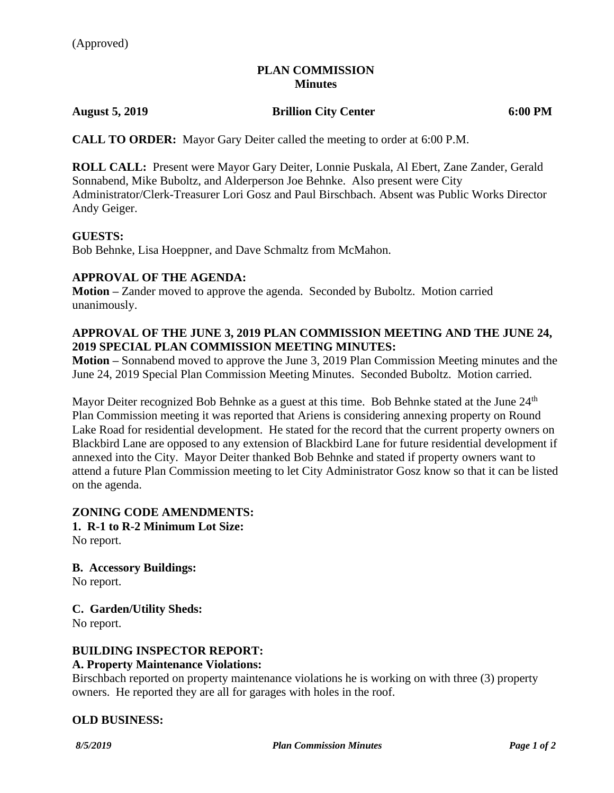# **PLAN COMMISSION Minutes**

**August 5, 2019 Brillion City Center 6:00 PM**

**CALL TO ORDER:** Mayor Gary Deiter called the meeting to order at 6:00 P.M.

**ROLL CALL:** Present were Mayor Gary Deiter, Lonnie Puskala, Al Ebert, Zane Zander, Gerald Sonnabend, Mike Buboltz, and Alderperson Joe Behnke. Also present were City Administrator/Clerk-Treasurer Lori Gosz and Paul Birschbach. Absent was Public Works Director Andy Geiger.

#### **GUESTS:**

Bob Behnke, Lisa Hoeppner, and Dave Schmaltz from McMahon.

# **APPROVAL OF THE AGENDA:**

**Motion –** Zander moved to approve the agenda. Seconded by Buboltz. Motion carried unanimously.

# **APPROVAL OF THE JUNE 3, 2019 PLAN COMMISSION MEETING AND THE JUNE 24, 2019 SPECIAL PLAN COMMISSION MEETING MINUTES:**

**Motion –** Sonnabend moved to approve the June 3, 2019 Plan Commission Meeting minutes and the June 24, 2019 Special Plan Commission Meeting Minutes. Seconded Buboltz. Motion carried.

Mayor Deiter recognized Bob Behnke as a guest at this time. Bob Behnke stated at the June 24<sup>th</sup> Plan Commission meeting it was reported that Ariens is considering annexing property on Round Lake Road for residential development. He stated for the record that the current property owners on Blackbird Lane are opposed to any extension of Blackbird Lane for future residential development if annexed into the City. Mayor Deiter thanked Bob Behnke and stated if property owners want to attend a future Plan Commission meeting to let City Administrator Gosz know so that it can be listed on the agenda.

# **ZONING CODE AMENDMENTS:**

**1. R-1 to R-2 Minimum Lot Size:**

No report.

**B. Accessory Buildings:**

No report.

**C. Garden/Utility Sheds:** No report.

# **BUILDING INSPECTOR REPORT:**

#### **A. Property Maintenance Violations:**

Birschbach reported on property maintenance violations he is working on with three (3) property owners. He reported they are all for garages with holes in the roof.

#### **OLD BUSINESS:**